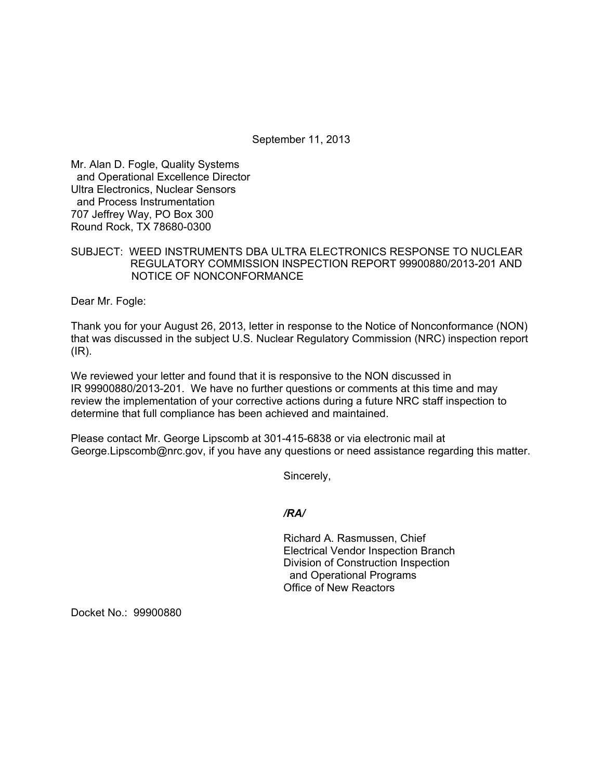September 11, 2013

Mr. Alan D. Fogle, Quality Systems and Operational Excellence Director Ultra Electronics, Nuclear Sensors and Process Instrumentation 707 Jeffrey Way, PO Box 300 Round Rock, TX 78680-0300

SUBJECT: WEED INSTRUMENTS DBA ULTRA ELECTRONICS RESPONSE TO NUCLEAR REGULATORY COMMISSION INSPECTION REPORT 99900880/2013-201 AND NOTICE OF NONCONFORMANCE

Dear Mr. Fogle:

Thank you for your August 26, 2013, letter in response to the Notice of Nonconformance (NON) that was discussed in the subject U.S. Nuclear Regulatory Commission (NRC) inspection report (IR).

We reviewed your letter and found that it is responsive to the NON discussed in IR 99900880/2013-201. We have no further questions or comments at this time and may review the implementation of your corrective actions during a future NRC staff inspection to determine that full compliance has been achieved and maintained.

Please contact Mr. George Lipscomb at 301-415-6838 or via electronic mail at George.Lipscomb@nrc.gov, if you have any questions or need assistance regarding this matter.

Sincerely,

## */RA/*

Richard A. Rasmussen, Chief Electrical Vendor Inspection Branch Division of Construction Inspection and Operational Programs Office of New Reactors

Docket No.: 99900880